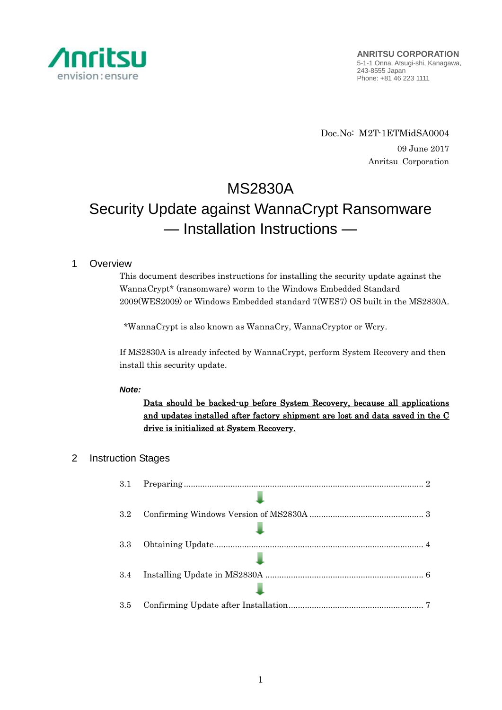

Doc.No: M2T-1ETMidSA0004 09 June 2017 Anritsu Corporation

# MS2830A

# Security Update against WannaCrypt Ransomware — Installation Instructions —

# 1 Overview

This document describes instructions for installing the security update against the WannaCrypt\* (ransomware) worm to the Windows Embedded Standard 2009(WES2009) or Windows Embedded standard 7(WES7) OS built in the MS2830A.

\*WannaCrypt is also known as WannaCry, WannaCryptor or Wcry.

If MS2830A is already infected by WannaCrypt, perform System Recovery and then install this security update.

# *Note:*

Data should be backed-up before System Recovery, because all applications and updates installed after factory shipment are lost and data saved in the C drive is initialized at System Recovery.

# 2 Instruction Stages

| 3.1 |  |
|-----|--|
|     |  |
| 3.2 |  |
|     |  |
| 3.3 |  |
|     |  |
| 3.4 |  |
|     |  |
| 3.5 |  |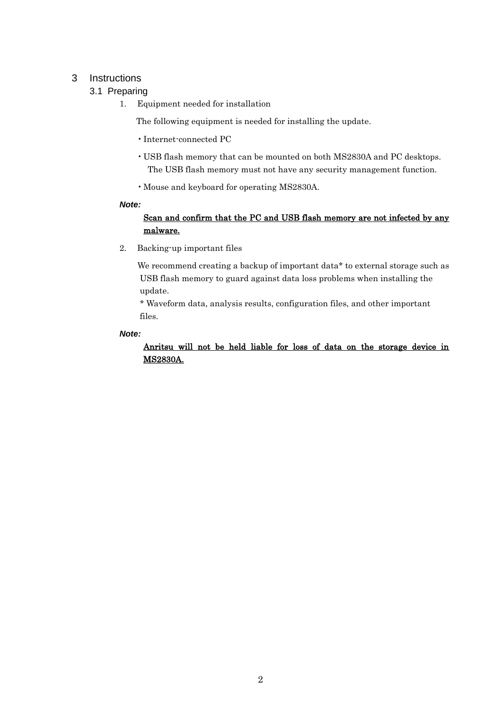# <span id="page-1-1"></span><span id="page-1-0"></span>3 Instructions

# 3.1 Preparing

1. Equipment needed for installation

The following equipment is needed for installing the update.

- •Internet-connected PC
- USB flash memory that can be mounted on both MS2830A and PC desktops. The USB flash memory must not have any security management function.
- •Mouse and keyboard for operating MS2830A.

## *Note:*

# Scan and confirm that the PC and USB flash memory are not infected by any malware.

2. Backing-up important files

We recommend creating a backup of important data\* to external storage such as USB flash memory to guard against data loss problems when installing the update.

\* Waveform data, analysis results, configuration files, and other important files.

## *Note:*

Anritsu will not be held liable for loss of data on the storage device in MS2830A.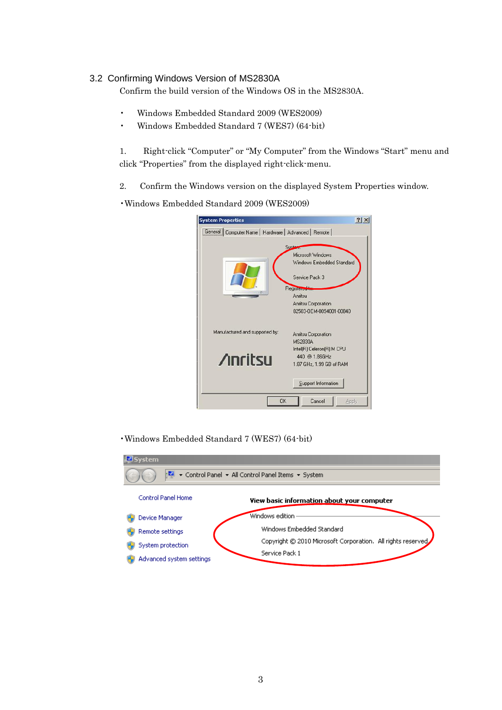# <span id="page-2-0"></span>3.2 Confirming Windows Version of MS2830A

Confirm the build version of the Windows OS in the MS2830A.

- Windows Embedded Standard 2009 (WES2009)
- Windows Embedded Standard 7 (WES7) (64-bit)

1. Right-click "Computer" or "My Computer" from the Windows "Start" menu and click "Properties" from the displayed right-click-menu.

2. Confirm the Windows version on the displayed System Properties window.

•Windows Embedded Standard 2009 (WES2009)

| $ ?  \times$ |
|--------------|
|              |
|              |
|              |
|              |
|              |
| <b>Apply</b> |

•Windows Embedded Standard 7 (WES7) (64-bit)

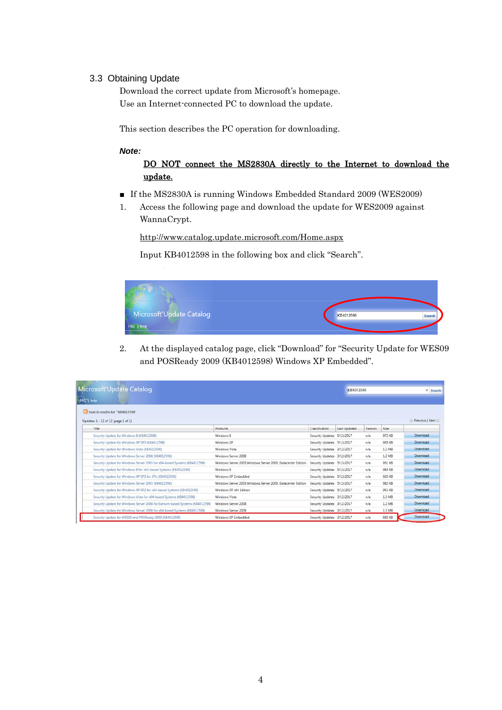## <span id="page-3-0"></span>3.3 Obtaining Update

Download the correct update from Microsoft's homepage. Use an Internet-connected PC to download the update.

This section describes the PC operation for downloading.

#### *Note:*

# DO NOT connect the MS2830A directly to the Internet to download the update.

- If the MS2830A is running Windows Embedded Standard 2009 (WES2009)
- 1. Access the following page and download the update for WES2009 against WannaCrypt.

<http://www.catalog.update.microsoft.com/Home.aspx>

Input KB4012598 in the following box and click "Search".



2. At the displayed catalog page, click "Download" for "Security Update for WES09 and POSReady 2009 (KB4012598) Windows XP Embedded".

| Microsoft Update Catalog                                                      |                                                               |                            |                     | KB4012598 |        | x Search        |
|-------------------------------------------------------------------------------|---------------------------------------------------------------|----------------------------|---------------------|-----------|--------|-----------------|
| FAQ   help                                                                    |                                                               |                            |                     |           |        |                 |
| Search results for "KB4012598"                                                |                                                               |                            |                     |           |        |                 |
| Updates: 1 - 13 of 13 (page 1 of 1)                                           |                                                               |                            |                     |           |        | Previous   Next |
| Title                                                                         | Products                                                      | Classification             | <b>Last Updated</b> | Version   | Size:  |                 |
| Security Update for Windows 8 (KB4012598)                                     | Windows 8                                                     | Security Updates 5/13/2017 |                     | n/s       | 872 KB | Download        |
| Security Update for Windows XP SP3 (K84012598)                                | Windows XP                                                    | Security Updates 5/13/2017 |                     | n/a       | 665 KB | Download        |
| Security Update for Windows Vista (KB4012598)                                 | Windows Vista                                                 | Security Updates 3/12/2017 |                     | n/a       | 1.2 MB | Download        |
| Security Update for Windows Server 2008 (K84012598)                           | Windows Server 2008                                           | Security Updates 3/12/2017 |                     | n/s       | 1.2 MB | Download        |
| Security Update for Windows Server 2003 for x64-based Systems (KB4012598).    | Windows Server 2003. Windows Server 2003. Datacenter Edition. | Security Updates 5/13/2017 |                     | n/a       | 951 KB | Download        |
| Security Update for Windows 8 for x64-based Systems (KB4012598)               | Windows 8                                                     | Security Updates 5/13/2017 |                     | n/a       | 984 KB | Download        |
| Security Update for Windows XP SP3 for XPe (KB4012598)                        | Windows XP Embedded                                           | Security Updates 5/13/2017 |                     | n/a       | 665 KB | Download        |
| Security Update for Windows Server 2003 (KB4012598)                           | Windows Server 2003 Windows Server 2003. Datacenter Edition   | Security Updates 5/13/2017 |                     | n/s       | 682 KB | Download        |
| Security Update for Windows XP SP2 for x64-based Systems (KB4012598)          | Windows XP x64 Edition                                        | Security Updates 5/13/2017 |                     | n/a       | 951 KB | Download        |
| Security Update for Windows Vista for x64-based Systems (K84012598)           | Windows Vista                                                 | Security Updates 3/12/2017 |                     | n/a       | 1.3 MB | Download        |
| Security Update for Windows Server 2008 for Itanium-based Systems (KB4012598) | Windows Server 2008                                           | Security Updates 3/12/2017 |                     | n/s       | 1.2 MB | Download        |
| Security Update for Windows Server 2008 for x64-based Systems (KB4012598)     | Windows Server 2008                                           | Security Updates 3/12/2017 |                     | n/a       | 1.3 MB | Download        |
| Security Update for WES09 and POSReady 2009 (KB4012598)                       | Windows XP Embedded                                           | Security Updates 3/12/2017 |                     | n/a       | 665 KB | Download        |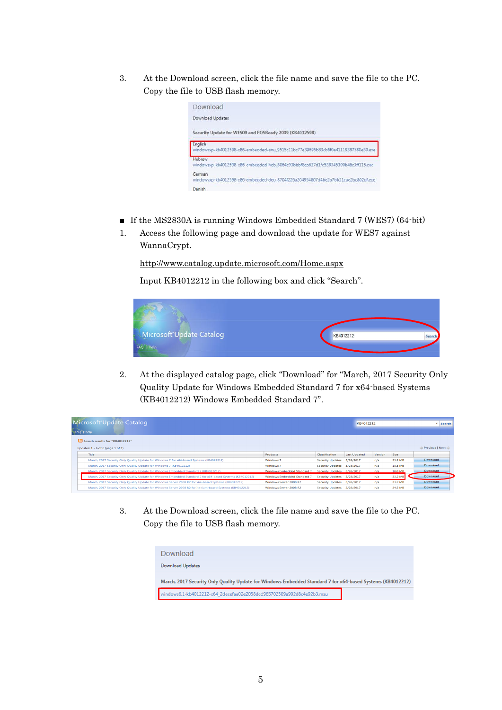3. At the Download screen, click the file name and save the file to the PC. Copy the file to USB flash memory.



- If the MS2830A is running Windows Embedded Standard 7 (WES7) (64-bit)
- 1. Access the following page and download the update for WES7 against WannaCrypt.

<http://www.catalog.update.microsoft.com/Home.aspx>

Input KB4012212 in the following box and click "Search".



2. At the displayed catalog page, click "Download" for "March, 2017 Security Only Quality Update for Windows Embedded Standard 7 for x64-based Systems (KB4012212) Windows Embedded Standard 7".

| Microsoft Update Catalog |                                                                                                            |                                    | KB4012212               |                     |         | <b>×</b> Search |                   |
|--------------------------|------------------------------------------------------------------------------------------------------------|------------------------------------|-------------------------|---------------------|---------|-----------------|-------------------|
| FAQ <sup>-</sup>   help  |                                                                                                            |                                    |                         |                     |         |                 |                   |
|                          | Search results for "KB4012212"                                                                             |                                    |                         |                     |         |                 |                   |
|                          | Updates: 1 - 6 of 6 (page 1 of 1)                                                                          |                                    |                         |                     |         |                 | ← Previous   Next |
|                          | Title                                                                                                      | Products                           | <b>Classification</b>   | <b>Last Updated</b> | Version | Size            |                   |
|                          | March, 2017 Security Only Quality Update for Windows 7 for x64-based Systems (KB4012212)                   | Windows 7                          | <b>Security Updates</b> | 3/28/2017           | n/a     | 33.2 MB         | <b>Download</b>   |
|                          | March, 2017 Security Only Ouality Update for Windows 7 (KB4012212)                                         | Windows <sub>7</sub>               | <b>Security Updates</b> | 3/28/2017           | n/a     | 18.8 MB         | Download          |
|                          | March, 2017 Security Only Quality Update for Windows Embedded Standard 7 (KB4012212)                       | <b>Windows Embedded Standard 7</b> | <b>Security Updates</b> | 3/28/2017           | n/a     | 18.8 MB         | <b>Download</b>   |
|                          | March, 2017 Security Only Ouality Update for Windows Embedded Standard 7 for x64-based Systems (KB4012212) | <b>Windows Embedded Standard 7</b> | <b>Security Updates</b> | 3/28/2017           | n/a     | 33.2 MB         | Download          |
|                          | March, 2017 Security Only Ouality Update for Windows Server 2008 R2 for x64-based Systems (KB4012212)      | Windows Server 2008 R2             | <b>Security Updates</b> | 3/28/2017           | n/a     | 33.2 MB         | Download          |
|                          | March, 2017 Security Only Quality Update for Windows Server 2008 R2 for Itanium-based Systems (KB4012212)  | Windows Server 2008 R2             | <b>Security Updates</b> | 3/28/2017           | n/a     | 34.5 MB         | Download          |

3. At the Download screen, click the file name and save the file to the PC. Copy the file to USB flash memory.

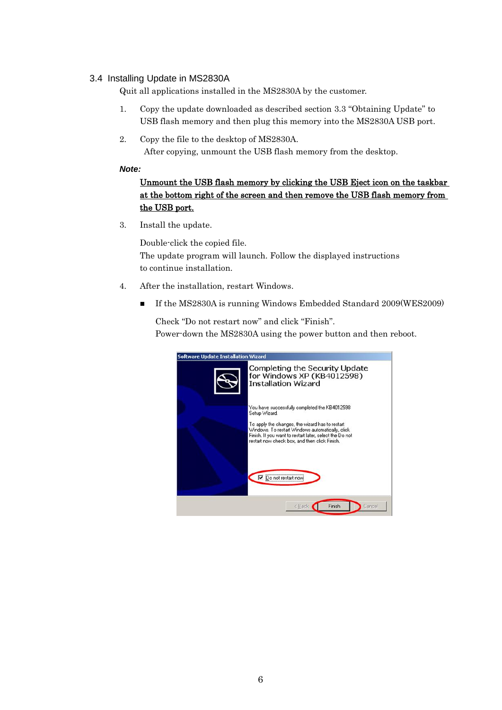# <span id="page-5-0"></span>3.4 Installing Update in MS2830A

Quit all applications installed in the MS2830A by the customer.

- 1. Copy the update downloaded as described section [3.3](#page-3-0) "[Obtaining Update](#page-3-0)" to USB flash memory and then plug this memory into the MS2830A USB port.
- 2. Copy the file to the desktop of MS2830A. After copying, unmount the USB flash memory from the desktop.

## *Note:*

# Unmount the USB flash memory by clicking the USB Eject icon on the taskbar at the bottom right of the screen and then remove the USB flash memory from the USB port.

3. Install the update.

Double-click the copied file. The update program will launch. Follow the displayed instructions to continue installation.

- 4. After the installation, restart Windows.
	- If the MS2830A is running Windows Embedded Standard 2009(WES2009)

Check "Do not restart now" and click "Finish". Power-down the MS2830A using the power button and then reboot.

| <b>Software Update Installation Wizard</b>                                          |                                                                                                                                                                                                                                                                                   |  |  |  |  |  |
|-------------------------------------------------------------------------------------|-----------------------------------------------------------------------------------------------------------------------------------------------------------------------------------------------------------------------------------------------------------------------------------|--|--|--|--|--|
| Completing the Security Update<br>for Windows XP (KB4012598)<br>Installation Wizard |                                                                                                                                                                                                                                                                                   |  |  |  |  |  |
|                                                                                     | You have successfully completed the KB4012598<br>Setup Wizard.<br>To apply the changes, the wizard has to restart<br>Windows. To restart Windows automatically, click<br>Finish. If you want to restart later, select the Do not<br>restart now check box, and then click Finish. |  |  |  |  |  |
|                                                                                     | Do not restart now<br>Finish<br>Cancel<br>< Bac                                                                                                                                                                                                                                   |  |  |  |  |  |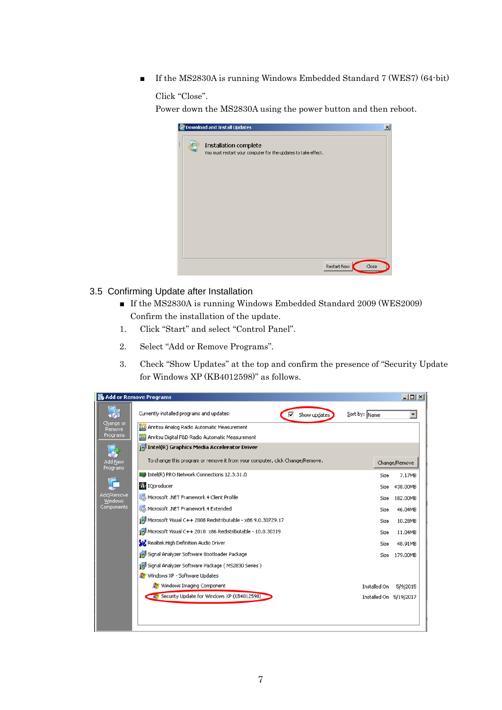■ If the MS2830A is running Windows Embedded Standard 7 (WES7) (64-bit)

```
Click "Close".
```
Power down the MS2830A using the power button and then reboot.



- <span id="page-6-0"></span>3.5 Confirming Update after Installation
	- If the MS2830A is running Windows Embedded Standard 2009 (WES2009) Confirm the installation of the update.
	- 1. Click "Start" and select "Control Panel".
	- 2. Select "Add or Remove Programs".
	- 3. Check "Show Updates" at the top and confirm the presence of "Security Update for Windows XP (KB4012598)" as follows.

|                              | Add or Remove Programs                                                       |                        | $-10x$        |
|------------------------------|------------------------------------------------------------------------------|------------------------|---------------|
| 扄                            | Currently installed programs and updates:<br>Show updates<br>⊽               | Sort by: Name          |               |
| Change or<br>Remove          | Anritsu Analog Radio Automatic Measurement                                   |                        |               |
| Programs                     | 412 Anritsu Digital F&D Radio Automatic Measurement                          |                        |               |
|                              | Intel(R) Graphics Media Accelerator Driver                                   |                        |               |
| Add New<br>Programs          | To change this program or remove it from your computer, click Change/Remove. |                        | Change/Remove |
|                              | III Intel(R) PRO Network Connections 12.3.31.0                               | Size                   | 7.17MB        |
|                              | IQproducer                                                                   | Size                   | 438.00MB      |
| Add/Remove<br><b>Windows</b> | Microsoft .NET Framework 4 Client Profile                                    | Size                   | 182.00MB      |
| Components                   | Microsoft .NET Framework 4 Extended                                          | Size                   | 46.04MB       |
|                              | Microsoft Visual C++ 2008 Redistributable - x86 9.0.30729.17                 | Size                   | 10.28MB       |
|                              | Microsoft Visual C++ 2010 x86 Redistributable - 10.0.30319                   | Size                   | 11.04MB       |
|                              | Realtek High Definition Audio Driver                                         | Size                   | 48.91MB       |
|                              | Signal Analyzer Software Bootloader Package                                  | Size                   | 179.00MB      |
|                              | Signal Analyzer Software Package (MS2830 Series )                            |                        |               |
|                              | Windows XP - Software Updates                                                |                        |               |
|                              | Windows Imaging Component                                                    | Installed On           | 5/9/2015      |
|                              | Security Update for Windows XP (KB4012598)                                   | Installed On 5/19/2017 |               |
|                              |                                                                              |                        |               |
|                              |                                                                              |                        |               |
|                              |                                                                              |                        |               |